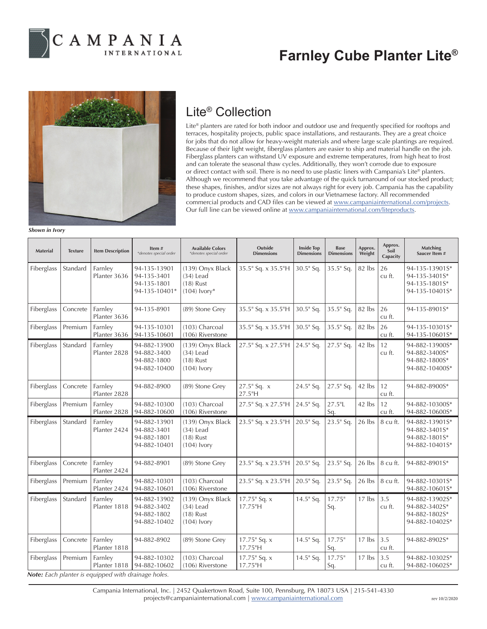

# **Farnley Cube Planter Lite®**



#### Lite® Collection

Lite® planters are rated for both indoor and outdoor use and frequently specified for rooftops and terraces, hospitality projects, public space installations, and restaurants. They are a great choice for jobs that do not allow for heavy-weight materials and where large scale plantings are required. Because of their light weight, fiberglass planters are easier to ship and material handle on the job. Fiberglass planters can withstand UV exposure and extreme temperatures, from high heat to frost and can tolerate the seasonal thaw cycles. Additionally, they won't corrode due to exposure or direct contact with soil. There is no need to use plastic liners with Campania's Lite® planters. Although we recommend that you take advantage of the quick turnaround of our stocked product; these shapes, finishes, and/or sizes are not always right for every job. Campania has the capability to produce custom shapes, sizes, and colors in our Vietnamese factory. All recommended commercial products and CAD files can be viewed at www.campaniainternational.com/projects. Our full line can be viewed online at www.campaniainternational.com/liteproducts.

*Shown in Ivory*

| <b>Material</b> | <b>Texture</b> | <b>Item Description</b>                                                        | Item#<br>*denotes special order                             | <b>Available Colors</b><br>*denotes special order                | Outside<br><b>Dimensions</b> | <b>Inside Top</b><br><b>Dimensions</b> | <b>Base</b><br><b>Dimensions</b> | Approx.<br>Weight | Approx.<br>Soil<br>Capacity | Matching<br>Saucer Item #                                          |
|-----------------|----------------|--------------------------------------------------------------------------------|-------------------------------------------------------------|------------------------------------------------------------------|------------------------------|----------------------------------------|----------------------------------|-------------------|-----------------------------|--------------------------------------------------------------------|
| Fiberglass      | Standard       | Farnley<br>Planter 3636                                                        | 94-135-13901<br>94-135-3401<br>94-135-1801<br>94-135-10401* | (139) Onyx Black<br>$(34)$ Lead<br>$(18)$ Rust<br>$(104)$ lvory* | 35.5" Sq. x 35.5"H           | 30.5" Sq.                              | 35.5" Sq.                        | 82 lbs            | 26<br>cu ft.                | 94-135-13901S*<br>94-135-3401S*<br>94-135-1801S*<br>94-135-10401S* |
| Fiberglass      | Concrete       | Farnley<br>Planter 3636                                                        | 94-135-8901                                                 | (89) Stone Grey                                                  | 35.5" Sq. x 35.5"H           | 30.5" Sq.                              | $35.5$ " Sq.                     | 82 lbs            | 26<br>cu ft.                | 94-135-8901S*                                                      |
| Fiberglass      | Premium        | Farnley<br>Planter 3636                                                        | 94-135-10301<br>94-135-10601                                | (103) Charcoal<br>(106) Riverstone                               | 35.5" Sq. x 35.5"H           | 30.5" Sq.                              | 35.5" Sq.                        | 82 lbs            | 26<br>cu ft.                | 94-135-10301S*<br>94-135-10601S*                                   |
| Fiberglass      | Standard       | Farnley<br>Planter 2828                                                        | 94-882-13900<br>94-882-3400<br>94-882-1800<br>94-882-10400  | (139) Onyx Black<br>$(34)$ Lead<br>$(18)$ Rust<br>$(104)$ lvory  | 27.5" Sq. x 27.5"H           | 24.5" Sq.                              | 27.5" Sq.                        | 42 lbs            | 12<br>cu ft.                | 94-882-13900S*<br>94-882-3400S*<br>94-882-1800S*<br>94-882-10400S* |
| Fiberglass      | Concrete       | Farnley<br>Planter 2828                                                        | 94-882-8900                                                 | (89) Stone Grey                                                  | 27.5" Sq. x<br>27.5"H        | 24.5" Sq.                              | 27.5" Sq.                        | 42 lbs            | 12<br>cu ft.                | 94-882-8900S*                                                      |
| Fiberglass      | Premium        | Farnley<br>Planter 2828                                                        | 94-882-10300<br>94-882-10600                                | (103) Charcoal<br>(106) Riverstone                               | 27.5" Sq. x 27.5"H           | 24.5" Sq.                              | $27.5$ "L<br>Sq.                 | 42 lbs            | 12<br>cu ft.                | 94-882-10300S*<br>94-882-10600S*                                   |
| Fiberglass      | Standard       | Farnley<br>Planter 2424                                                        | 94-882-13901<br>94-882-3401<br>94-882-1801<br>94-882-10401  | (139) Onyx Black<br>$(34)$ Lead<br>$(18)$ Rust<br>$(104)$ Ivory  | 23.5" Sq. x 23.5"H           | 20.5" Sq.                              | 23.5" Sq.                        | 26 lbs            | 8 cu ft.                    | 94-882-13901S*<br>94-882-3401S*<br>94-882-18015*<br>94-882-10401S* |
| Fiberglass      | Concrete       | Farnley<br>Planter 2424                                                        | 94-882-8901                                                 | (89) Stone Grey                                                  | 23.5" Sq. x 23.5"H           | $20.5$ " Sq.                           | $23.5$ " Sq.                     | 26 lbs            | 8 cu ft.                    | 94-882-8901S*                                                      |
| Fiberglass      | Premium        | Farnley<br>Planter 2424                                                        | 94-882-10301<br>94-882-10601                                | (103) Charcoal<br>(106) Riverstone                               | 23.5" Sq. x 23.5"H           | 20.5" Sq.                              | 23.5" Sq.                        | 26 lbs            | 8 cu ft.                    | 94-882-10301S*<br>94-882-10601S*                                   |
| Fiberglass      | Standard       | Farnley<br>Planter 1818                                                        | 94-882-13902<br>94-882-3402<br>94-882-1802<br>94-882-10402  | (139) Onyx Black<br>$(34)$ Lead<br>$(18)$ Rust<br>$(104)$ Ivory  | $17.75$ " Sq. x<br>17.75"H   | 14.5" Sq.                              | $17.75$ "<br>Sq.                 | 17 lbs            | 3.5<br>cu ft.               | 94-882-13902S*<br>94-882-3402S*<br>94-882-1802S*<br>94-882-10402S* |
| Fiberglass      | Concrete       | Farnley<br>Planter 1818                                                        | 94-882-8902                                                 | (89) Stone Grey                                                  | 17.75" Sq. x<br>17.75"H      | 14.5" Sq.                              | $17.75$ "<br>Sq.                 | 17 lbs            | 3.5<br>cu ft.               | 94-882-8902S*                                                      |
| Fiberglass      | Premium        | Farnley<br>Planter 1818<br>Note: Each planter is equipped with drainage holes. | 94-882-10302<br>94-882-10602                                | (103) Charcoal<br>(106) Riverstone                               | $17.75$ " Sq. x<br>17.75"H   | 14.5" Sq.                              | $17.75$ "<br>Sq.                 | 17 lbs            | 3.5<br>cu ft.               | 94-882-10302S*<br>94-882-10602S*                                   |

Campania International, Inc. | 2452 Quakertown Road, Suite 100, Pennsburg, PA 18073 USA | 215-541-4330 projects@campaniainternational.com | www.campaniainternational.com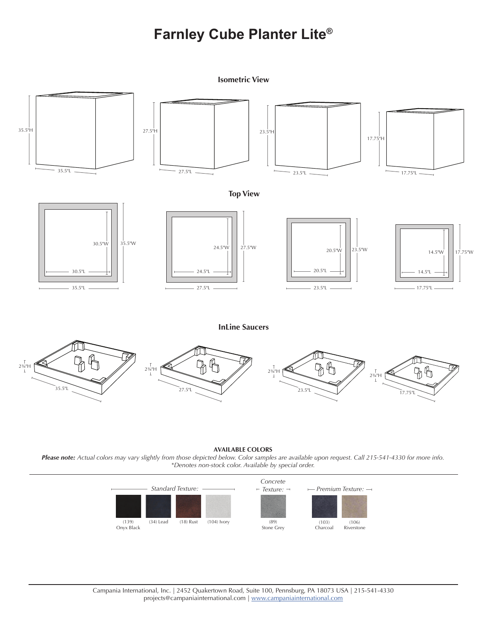### **Farnley Cube Planter Lite®**

**Isometric View**  $35.5"$ H 23.5"H 23.5"H 17.75"H 35.5"L  $27.5$ "L  $23.5$ "L  $23.5$ "L  $17.75$ "L **Top View** 30.5"W 35.5"W 24.5"W 27.5"W 23.5"W 20.5"W 14.5"W 17.75"W 20.5"L 30.5"L 24.5"L 14.5"L 27.5"L 23.5"L 17.75"L 35.5"L **InLine Saucers** П.  $\widetilde{\mathfrak{g}}$  $2^{2/4}$  H  $2^{3/4}$   $\frac{1}{2^{3/4}}$   $\frac{1}{2^{3/4}}$   $\frac{1}{2^{3/4}}$   $\frac{1}{2^{3/4}}$   $\frac{1}{2^{3/4}}$   $\frac{1}{2^{3/4}}$   $\frac{1}{2^{3/4}}$ 35.5"L 27.5"L 27.5"L 23.5"L 23.5"L 23.5"L

#### **AVAILABLE COLORS**

*Please note: Actual colors may vary slightly from those depicted below. Color samples are available upon request. Call 215-541-4330 for more info. \*Denotes non-stock color. Available by special order.*